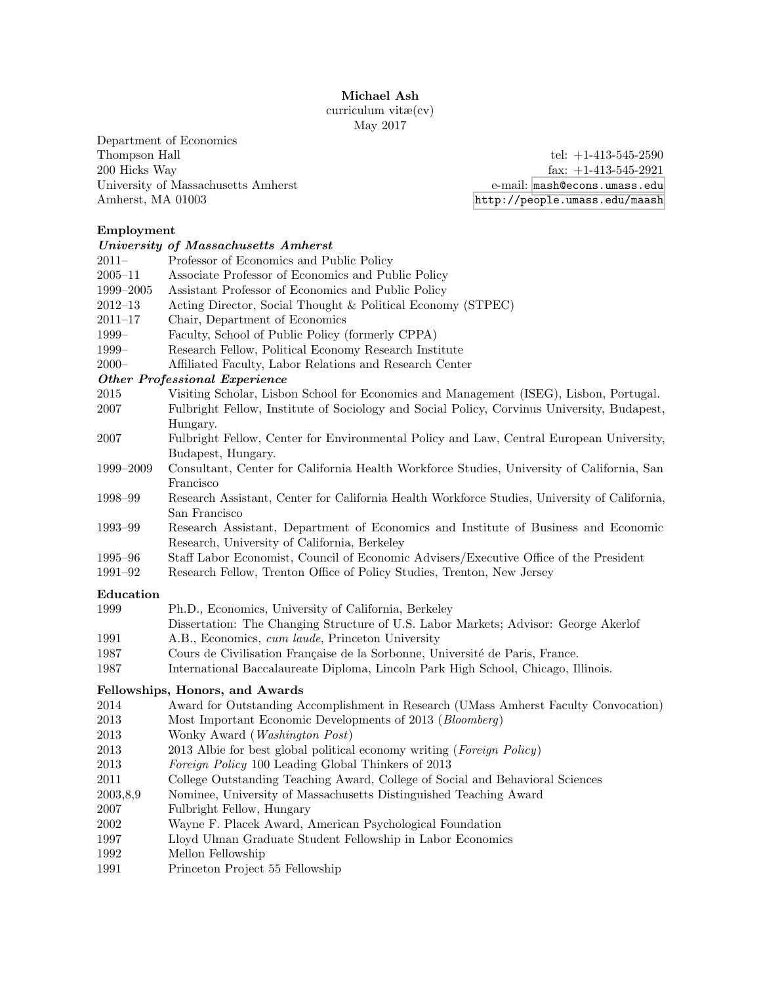Michael Ash

curriculum vitæ(cv) May 2017

Department of Economics Thompson Hall  $t$ el:  $+1-413-545-2590$ 200 Hicks Way fax: +1-413-545-2921 University of Massachusetts Amherst e-mail: <mash@econs.umass.edu>

Amherst, MA 01003 <http://people.umass.edu/maash>

# Employment

| тирю, шеш                            |                                                                                                                                    |  |
|--------------------------------------|------------------------------------------------------------------------------------------------------------------------------------|--|
|                                      | University of Massachusetts Amherst                                                                                                |  |
| 2011–                                | Professor of Economics and Public Policy                                                                                           |  |
| $2005 - 11$                          | Associate Professor of Economics and Public Policy                                                                                 |  |
| 1999-2005                            | Assistant Professor of Economics and Public Policy                                                                                 |  |
| $2012 - 13$                          | Acting Director, Social Thought & Political Economy (STPEC)                                                                        |  |
| $2011 - 17$                          | Chair, Department of Economics                                                                                                     |  |
| 1999-                                | Faculty, School of Public Policy (formerly CPPA)                                                                                   |  |
| 1999-                                | Research Fellow, Political Economy Research Institute                                                                              |  |
| $2000 -$                             | Affiliated Faculty, Labor Relations and Research Center                                                                            |  |
| <b>Other Professional Experience</b> |                                                                                                                                    |  |
| 2015                                 | Visiting Scholar, Lisbon School for Economics and Management (ISEG), Lisbon, Portugal.                                             |  |
| 2007                                 | Fulbright Fellow, Institute of Sociology and Social Policy, Corvinus University, Budapest,                                         |  |
|                                      | Hungary.                                                                                                                           |  |
| 2007                                 | Fulbright Fellow, Center for Environmental Policy and Law, Central European University,                                            |  |
|                                      | Budapest, Hungary.                                                                                                                 |  |
| 1999–2009                            | Consultant, Center for California Health Workforce Studies, University of California, San<br>Francisco                             |  |
| 1998–99                              | Research Assistant, Center for California Health Workforce Studies, University of California,                                      |  |
|                                      | San Francisco                                                                                                                      |  |
| $1993 - 99$                          | Research Assistant, Department of Economics and Institute of Business and Economic<br>Research, University of California, Berkeley |  |
| 1995–96                              | Staff Labor Economist, Council of Economic Advisers/Executive Office of the President                                              |  |
| 1991–92                              | Research Fellow, Trenton Office of Policy Studies, Trenton, New Jersey                                                             |  |
| Education                            |                                                                                                                                    |  |
| 1999                                 | Ph.D., Economics, University of California, Berkeley                                                                               |  |
|                                      | Dissertation: The Changing Structure of U.S. Labor Markets; Advisor: George Akerlof                                                |  |
| 1991                                 | A.B., Economics, cum laude, Princeton University                                                                                   |  |
| 1987                                 | Cours de Civilisation Française de la Sorbonne, Université de Paris, France.                                                       |  |
| 1987                                 | International Baccalaureate Diploma, Lincoln Park High School, Chicago, Illinois.                                                  |  |
| Fellowships, Honors, and Awards      |                                                                                                                                    |  |
| 2014                                 | Award for Outstanding Accomplishment in Research (UMass Amherst Faculty Convocation)                                               |  |
| 2013                                 | Most Important Economic Developments of 2013 (Bloomberg)                                                                           |  |
| 2013                                 | Wonky Award ( <i>Washington Post</i> )                                                                                             |  |
| 2013                                 | 2013 Albie for best global political economy writing (Foreign Policy)                                                              |  |
| 2013                                 | Foreign Policy 100 Leading Global Thinkers of 2013                                                                                 |  |
| 2011                                 | College Outstanding Teaching Award, College of Social and Behavioral Sciences                                                      |  |
| 2003,8,9                             | Nominee, University of Massachusetts Distinguished Teaching Award                                                                  |  |
| 2007                                 | Fulbright Fellow, Hungary                                                                                                          |  |
| 2002                                 | Wayne F. Placek Award, American Psychological Foundation                                                                           |  |
| 1997                                 | Lloyd Ulman Graduate Student Fellowship in Labor Economics                                                                         |  |
| 1992                                 | Mellon Fellowship                                                                                                                  |  |
|                                      |                                                                                                                                    |  |

1991 Princeton Project 55 Fellowship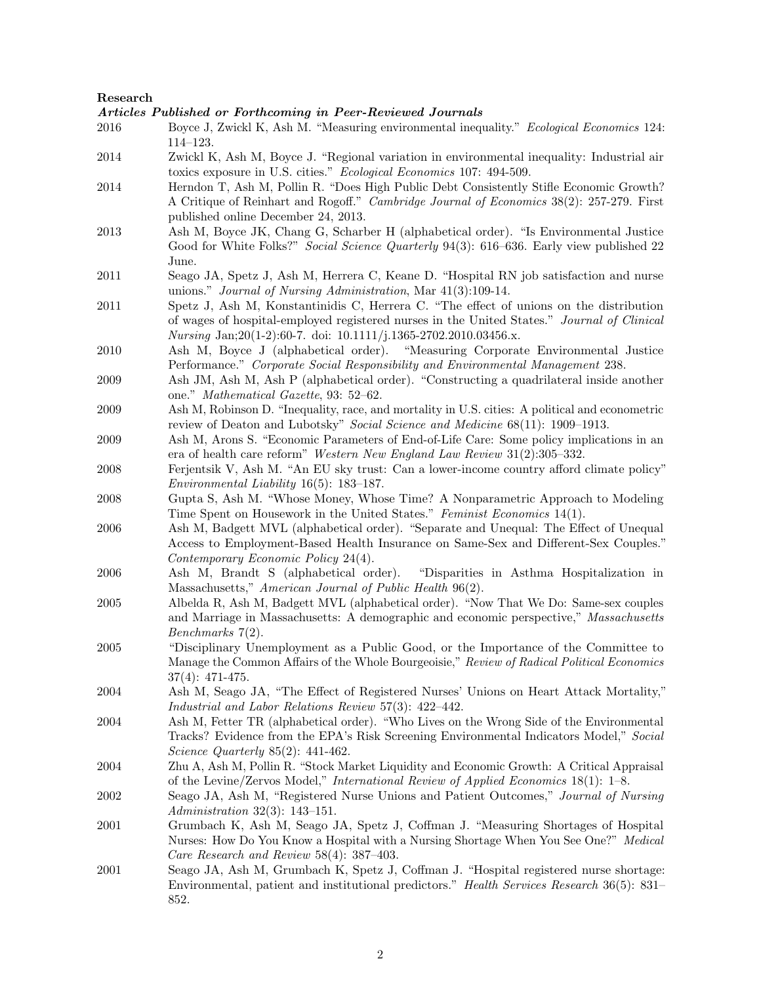### Research

Articles Published or Forthcoming in Peer-Reviewed Journals

- 2016 Boyce J, Zwickl K, Ash M. "Measuring environmental inequality." Ecological Economics 124: 114–123.
- 2014 Zwickl K, Ash M, Boyce J. "Regional variation in environmental inequality: Industrial air toxics exposure in U.S. cities." Ecological Economics 107: 494-509.
- 2014 Herndon T, Ash M, Pollin R. "Does High Public Debt Consistently Stifle Economic Growth? A Critique of Reinhart and Rogoff." Cambridge Journal of Economics 38(2): 257-279. First published online December 24, 2013.
- 2013 Ash M, Boyce JK, Chang G, Scharber H (alphabetical order). "Is Environmental Justice Good for White Folks?" Social Science Quarterly 94(3): 616–636. Early view published 22 June.
- 2011 Seago JA, Spetz J, Ash M, Herrera C, Keane D. "Hospital RN job satisfaction and nurse unions." Journal of Nursing Administration, Mar 41(3):109-14.
- 2011 Spetz J, Ash M, Konstantinidis C, Herrera C. "The effect of unions on the distribution of wages of hospital-employed registered nurses in the United States." Journal of Clinical Nursing Jan;20(1-2):60-7. doi: 10.1111/j.1365-2702.2010.03456.x.
- 2010 Ash M, Boyce J (alphabetical order). "Measuring Corporate Environmental Justice Performance." Corporate Social Responsibility and Environmental Management 238.
- 2009 Ash JM, Ash M, Ash P (alphabetical order). "Constructing a quadrilateral inside another one." Mathematical Gazette, 93: 52–62.
- 2009 Ash M, Robinson D. "Inequality, race, and mortality in U.S. cities: A political and econometric review of Deaton and Lubotsky" Social Science and Medicine 68(11): 1909–1913.
- 2009 Ash M, Arons S. "Economic Parameters of End-of-Life Care: Some policy implications in an era of health care reform" Western New England Law Review 31(2):305–332.
- 2008 Ferjentsik V, Ash M. "An EU sky trust: Can a lower-income country afford climate policy" Environmental Liability 16(5): 183–187.
- 2008 Gupta S, Ash M. "Whose Money, Whose Time? A Nonparametric Approach to Modeling Time Spent on Housework in the United States." Feminist Economics 14(1).
- 2006 Ash M, Badgett MVL (alphabetical order). "Separate and Unequal: The Effect of Unequal Access to Employment-Based Health Insurance on Same-Sex and Different-Sex Couples." Contemporary Economic Policy 24(4).
- 2006 Ash M, Brandt S (alphabetical order). "Disparities in Asthma Hospitalization in Massachusetts," American Journal of Public Health 96(2).
- 2005 Albelda R, Ash M, Badgett MVL (alphabetical order). "Now That We Do: Same-sex couples and Marriage in Massachusetts: A demographic and economic perspective," Massachusetts Benchmarks 7(2).
- 2005 "Disciplinary Unemployment as a Public Good, or the Importance of the Committee to Manage the Common Affairs of the Whole Bourgeoisie," Review of Radical Political Economics 37(4): 471-475.
- 2004 Ash M, Seago JA, "The Effect of Registered Nurses' Unions on Heart Attack Mortality," Industrial and Labor Relations Review 57(3): 422–442.
- 2004 Ash M, Fetter TR (alphabetical order). "Who Lives on the Wrong Side of the Environmental Tracks? Evidence from the EPA's Risk Screening Environmental Indicators Model," Social Science Quarterly 85(2): 441-462.
- 2004 Zhu A, Ash M, Pollin R. "Stock Market Liquidity and Economic Growth: A Critical Appraisal of the Levine/Zervos Model," International Review of Applied Economics 18(1): 1–8.
- 2002 Seago JA, Ash M, "Registered Nurse Unions and Patient Outcomes," Journal of Nursing Administration 32(3): 143–151.
- 2001 Grumbach K, Ash M, Seago JA, Spetz J, Coffman J. "Measuring Shortages of Hospital Nurses: How Do You Know a Hospital with a Nursing Shortage When You See One?" Medical Care Research and Review 58(4): 387–403.
- 2001 Seago JA, Ash M, Grumbach K, Spetz J, Coffman J. "Hospital registered nurse shortage: Environmental, patient and institutional predictors." Health Services Research 36(5): 831– 852.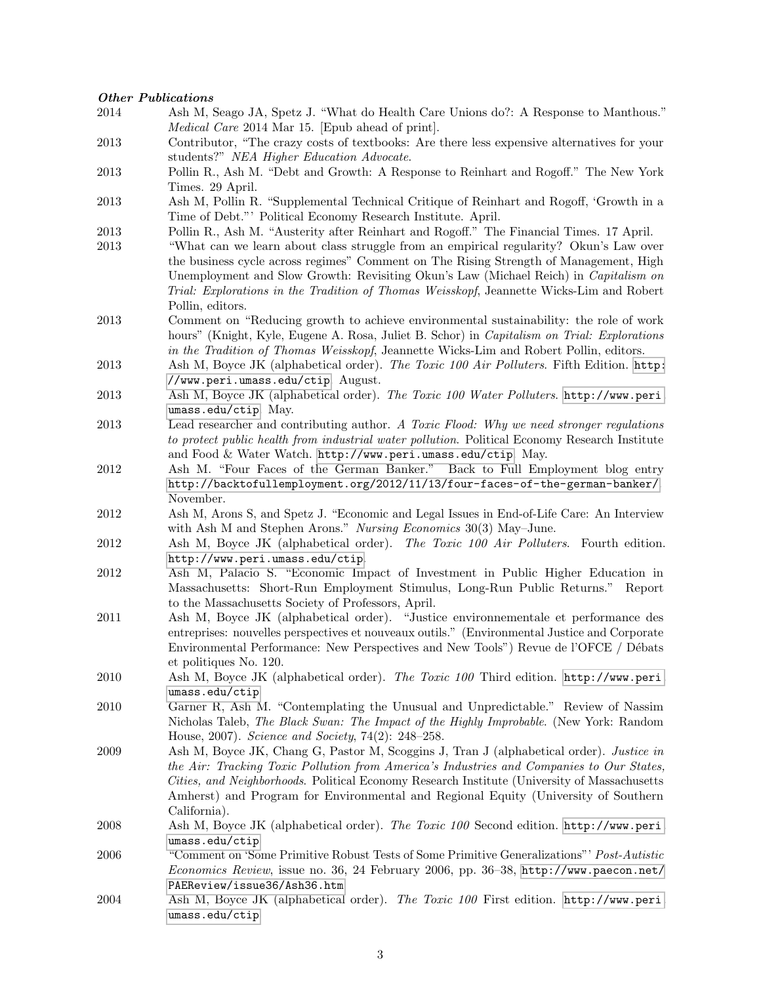### Other Publications

- 2014 Ash M, Seago JA, Spetz J. "What do Health Care Unions do?: A Response to Manthous." Medical Care 2014 Mar 15. [Epub ahead of print]. 2013 Contributor, "The crazy costs of textbooks: Are there less expensive alternatives for your students?" NEA Higher Education Advocate. 2013 Pollin R., Ash M. "Debt and Growth: A Response to Reinhart and Rogoff." The New York Times. 29 April. 2013 Ash M, Pollin R. "Supplemental Technical Critique of Reinhart and Rogoff, 'Growth in a Time of Debt."' Political Economy Research Institute. April. 2013 Pollin R., Ash M. "Austerity after Reinhart and Rogoff." The Financial Times. 17 April. 2013 "What can we learn about class struggle from an empirical regularity? Okun's Law over the business cycle across regimes" Comment on The Rising Strength of Management, High Unemployment and Slow Growth: Revisiting Okun's Law (Michael Reich) in Capitalism on Trial: Explorations in the Tradition of Thomas Weisskopf, Jeannette Wicks-Lim and Robert Pollin, editors. 2013 Comment on "Reducing growth to achieve environmental sustainability: the role of work hours" (Knight, Kyle, Eugene A. Rosa, Juliet B. Schor) in *Capitalism on Trial: Explorations* in the Tradition of Thomas Weisskopf, Jeannette Wicks-Lim and Robert Pollin, editors. 2013 Ash M, Boyce JK (alphabetical order). The Toxic 100 Air Polluters. Fifth Edition. [http:](http://www.peri.umass.edu/ctip) [//www.peri.umass.edu/ctip](http://www.peri.umass.edu/ctip). August. 2013 Ash M, Boyce JK (alphabetical order). The Toxic 100 Water Polluters. [http://www.peri.](http://www.peri.umass.edu/ctip) [umass.edu/ctip](http://www.peri.umass.edu/ctip). May. 2013 Lead researcher and contributing author. A Toxic Flood: Why we need stronger regulations to protect public health from industrial water pollution. Political Economy Research Institute and Food & Water Watch. <http://www.peri.umass.edu/ctip>. May. 2012 Ash M. "Four Faces of the German Banker." Back to Full Employment blog entry <http://backtofullemployment.org/2012/11/13/four-faces-of-the-german-banker/>. November. 2012 Ash M, Arons S, and Spetz J. "Economic and Legal Issues in End-of-Life Care: An Interview with Ash M and Stephen Arons." Nursing Economics 30(3) May-June. 2012 Ash M, Boyce JK (alphabetical order). The Toxic 100 Air Polluters. Fourth edition. <http://www.peri.umass.edu/ctip>. 2012 Ash M, Palacio S. "Economic Impact of Investment in Public Higher Education in Massachusetts: Short-Run Employment Stimulus, Long-Run Public Returns." Report to the Massachusetts Society of Professors, April. 2011 Ash M, Boyce JK (alphabetical order). "Justice environnementale et performance des entreprises: nouvelles perspectives et nouveaux outils." (Environmental Justice and Corporate Environmental Performance: New Perspectives and New Tools") Revue de l'OFCE / Débats et politiques No. 120. 2010 Ash M, Boyce JK (alphabetical order). The Toxic 100 Third edition. [http://www.peri.](http://www.peri.umass.edu/ctip) [umass.edu/ctip](http://www.peri.umass.edu/ctip) 2010 Garner R, Ash M. "Contemplating the Unusual and Unpredictable." Review of Nassim Nicholas Taleb, The Black Swan: The Impact of the Highly Improbable. (New York: Random House, 2007). Science and Society, 74(2): 248–258. 2009 Ash M, Boyce JK, Chang G, Pastor M, Scoggins J, Tran J (alphabetical order). Justice in the Air: Tracking Toxic Pollution from America's Industries and Companies to Our States, Cities, and Neighborhoods. Political Economy Research Institute (University of Massachusetts Amherst) and Program for Environmental and Regional Equity (University of Southern California). 2008 Ash M, Boyce JK (alphabetical order). The Toxic 100 Second edition. [http://www.peri.](http://www.peri.umass.edu/ctip) [umass.edu/ctip](http://www.peri.umass.edu/ctip) 2006 "Comment on 'Some Primitive Robust Tests of Some Primitive Generalizations"' Post-Autistic Economics Review, issue no. 36, 24 February 2006, pp. 36–38, [http://www.paecon.net/](http://www.paecon.net/PAEReview/issue36/Ash36.htm) [PAEReview/issue36/Ash36.htm](http://www.paecon.net/PAEReview/issue36/Ash36.htm) 2004 Ash M, Boyce JK (alphabetical order). The Toxic 100 First edition. [http://www.peri.](http://www.peri.umass.edu/ctip) [umass.edu/ctip](http://www.peri.umass.edu/ctip)
	- 3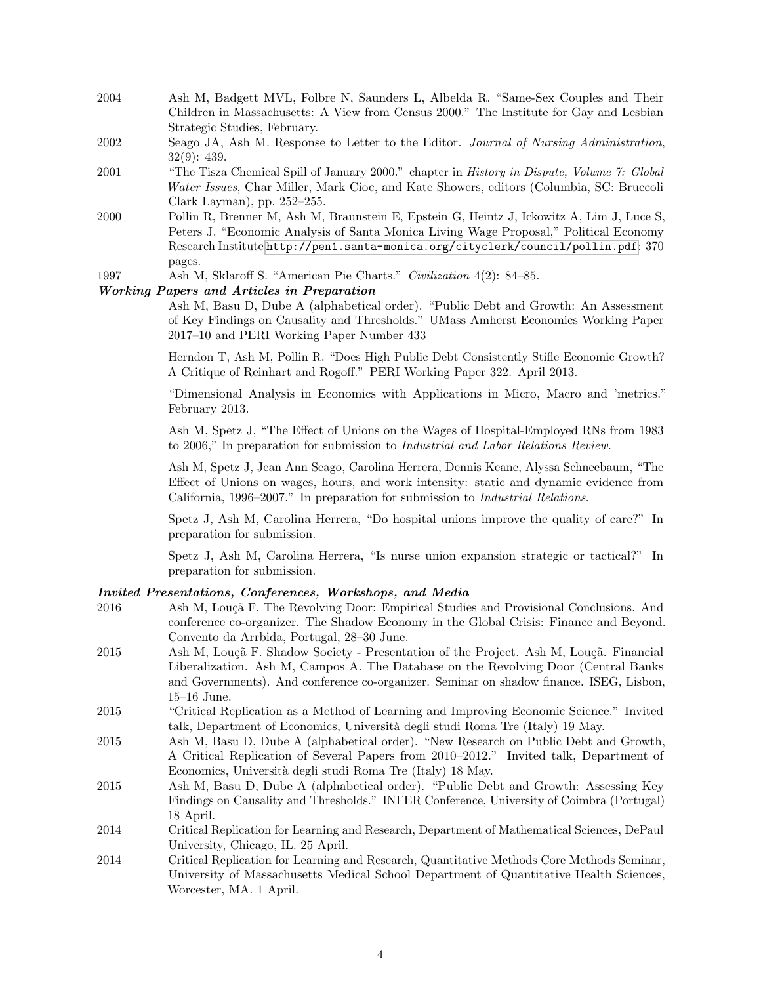- 2004 Ash M, Badgett MVL, Folbre N, Saunders L, Albelda R. "Same-Sex Couples and Their Children in Massachusetts: A View from Census 2000." The Institute for Gay and Lesbian Strategic Studies, February.
- 2002 Seago JA, Ash M. Response to Letter to the Editor. Journal of Nursing Administration, 32(9): 439.
- 2001 "The Tisza Chemical Spill of January 2000." chapter in History in Dispute, Volume 7: Global Water Issues, Char Miller, Mark Cioc, and Kate Showers, editors (Columbia, SC: Bruccoli Clark Layman), pp. 252–255.
- 2000 Pollin R, Brenner M, Ash M, Braunstein E, Epstein G, Heintz J, Ickowitz A, Lim J, Luce S, Peters J. "Economic Analysis of Santa Monica Living Wage Proposal," Political Economy Research Institute <http://pen1.santa-monica.org/cityclerk/council/pollin.pdf>: 370 pages.
- 1997 Ash M, Sklaroff S. "American Pie Charts." Civilization 4(2): 84–85.

### Working Papers and Articles in Preparation

Ash M, Basu D, Dube A (alphabetical order). "Public Debt and Growth: An Assessment of Key Findings on Causality and Thresholds." UMass Amherst Economics Working Paper 2017–10 and PERI Working Paper Number 433

Herndon T, Ash M, Pollin R. "Does High Public Debt Consistently Stifle Economic Growth? A Critique of Reinhart and Rogoff." PERI Working Paper 322. April 2013.

"Dimensional Analysis in Economics with Applications in Micro, Macro and 'metrics." February 2013.

Ash M, Spetz J, "The Effect of Unions on the Wages of Hospital-Employed RNs from 1983 to 2006," In preparation for submission to Industrial and Labor Relations Review.

Ash M, Spetz J, Jean Ann Seago, Carolina Herrera, Dennis Keane, Alyssa Schneebaum, "The Effect of Unions on wages, hours, and work intensity: static and dynamic evidence from California, 1996–2007." In preparation for submission to Industrial Relations.

Spetz J, Ash M, Carolina Herrera, "Do hospital unions improve the quality of care?" In preparation for submission.

Spetz J, Ash M, Carolina Herrera, "Is nurse union expansion strategic or tactical?" In preparation for submission.

### Invited Presentations, Conferences, Workshops, and Media

Worcester, MA. 1 April.

| 2016 | Ash M, Louçã F. The Revolving Door: Empirical Studies and Provisional Conclusions. And      |
|------|---------------------------------------------------------------------------------------------|
|      | conference co-organizer. The Shadow Economy in the Global Crisis: Finance and Beyond.       |
|      | Convento da Arrbida, Portugal, 28-30 June.                                                  |
| 2015 | Ash M, Louçã F. Shadow Society - Presentation of the Project. Ash M, Louçã. Financial       |
|      | Liberalization. Ash M, Campos A. The Database on the Revolving Door (Central Banks          |
|      | and Governments). And conference co-organizer. Seminar on shadow finance. ISEG, Lisbon,     |
|      | $15-16$ June.                                                                               |
| 2015 | "Critical Replication as a Method of Learning and Improving Economic Science." Invited      |
|      | talk, Department of Economics, Università degli studi Roma Tre (Italy) 19 May.              |
| 2015 | Ash M, Basu D, Dube A (alphabetical order). "New Research on Public Debt and Growth,        |
|      | A Critical Replication of Several Papers from 2010–2012." Invited talk, Department of       |
|      | Economics, Università degli studi Roma Tre (Italy) 18 May.                                  |
| 2015 | Ash M, Basu D, Dube A (alphabetical order). "Public Debt and Growth: Assessing Key          |
|      | Findings on Causality and Thresholds." INFER Conference, University of Coimbra (Portugal)   |
|      | 18 April.                                                                                   |
| 2014 | Critical Replication for Learning and Research, Department of Mathematical Sciences, DePaul |
|      | University, Chicago, IL. 25 April.                                                          |
| 2014 | Critical Replication for Learning and Research, Quantitative Methods Core Methods Seminar,  |
|      | University of Massachusetts Medical School Department of Quantitative Health Sciences,      |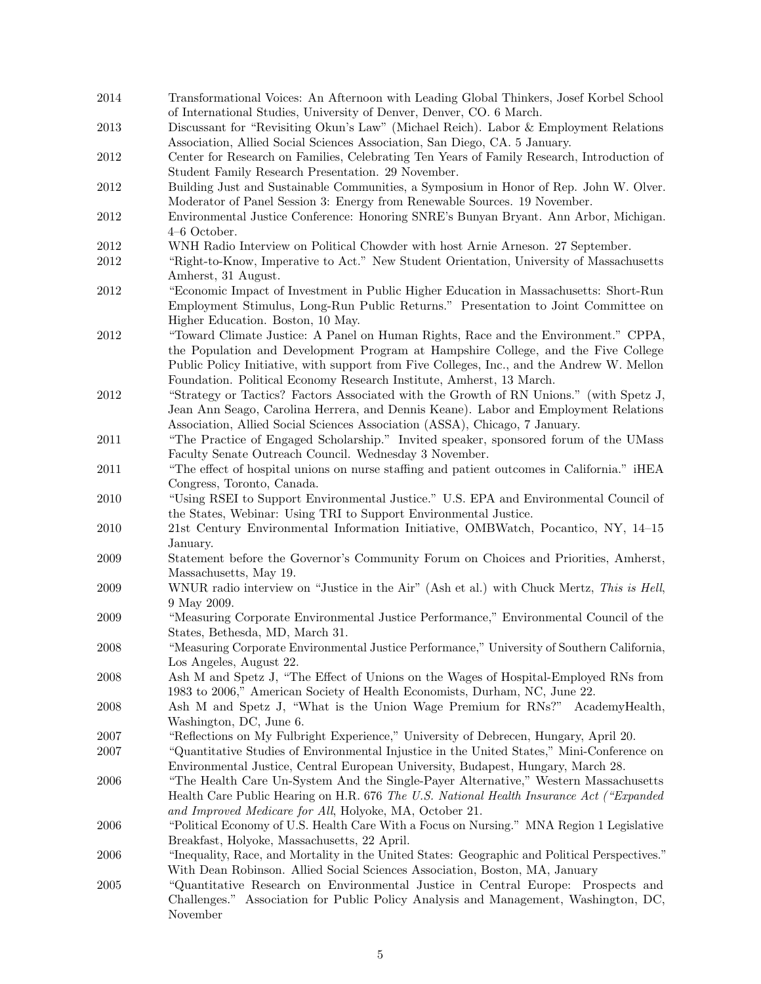- 2014 Transformational Voices: An Afternoon with Leading Global Thinkers, Josef Korbel School of International Studies, University of Denver, Denver, CO. 6 March. 2013 Discussant for "Revisiting Okun's Law" (Michael Reich). Labor & Employment Relations Association, Allied Social Sciences Association, San Diego, CA. 5 January. 2012 Center for Research on Families, Celebrating Ten Years of Family Research, Introduction of Student Family Research Presentation. 29 November. 2012 Building Just and Sustainable Communities, a Symposium in Honor of Rep. John W. Olver. Moderator of Panel Session 3: Energy from Renewable Sources. 19 November. 2012 Environmental Justice Conference: Honoring SNRE's Bunyan Bryant. Ann Arbor, Michigan. 4–6 October. 2012 WNH Radio Interview on Political Chowder with host Arnie Arneson. 27 September. 2012 "Right-to-Know, Imperative to Act." New Student Orientation, University of Massachusetts Amherst, 31 August. 2012 "Economic Impact of Investment in Public Higher Education in Massachusetts: Short-Run Employment Stimulus, Long-Run Public Returns." Presentation to Joint Committee on Higher Education. Boston, 10 May. 2012 "Toward Climate Justice: A Panel on Human Rights, Race and the Environment." CPPA, the Population and Development Program at Hampshire College, and the Five College Public Policy Initiative, with support from Five Colleges, Inc., and the Andrew W. Mellon Foundation. Political Economy Research Institute, Amherst, 13 March. 2012 "Strategy or Tactics? Factors Associated with the Growth of RN Unions." (with Spetz J, Jean Ann Seago, Carolina Herrera, and Dennis Keane). Labor and Employment Relations Association, Allied Social Sciences Association (ASSA), Chicago, 7 January. 2011 "The Practice of Engaged Scholarship." Invited speaker, sponsored forum of the UMass Faculty Senate Outreach Council. Wednesday 3 November. 2011 "The effect of hospital unions on nurse staffing and patient outcomes in California." iHEA Congress, Toronto, Canada. 2010 "Using RSEI to Support Environmental Justice." U.S. EPA and Environmental Council of the States, Webinar: Using TRI to Support Environmental Justice. 2010 21st Century Environmental Information Initiative, OMBWatch, Pocantico, NY, 14–15 January. 2009 Statement before the Governor's Community Forum on Choices and Priorities, Amherst, Massachusetts, May 19. 2009 WNUR radio interview on "Justice in the Air" (Ash et al.) with Chuck Mertz, This is Hell, 9 May 2009. 2009 "Measuring Corporate Environmental Justice Performance," Environmental Council of the States, Bethesda, MD, March 31. 2008 "Measuring Corporate Environmental Justice Performance," University of Southern California, Los Angeles, August 22. 2008 Ash M and Spetz J, "The Effect of Unions on the Wages of Hospital-Employed RNs from 1983 to 2006," American Society of Health Economists, Durham, NC, June 22. 2008 Ash M and Spetz J, "What is the Union Wage Premium for RNs?" AcademyHealth, Washington, DC, June 6. 2007 "Reflections on My Fulbright Experience," University of Debrecen, Hungary, April 20. 2007 "Quantitative Studies of Environmental Injustice in the United States," Mini-Conference on Environmental Justice, Central European University, Budapest, Hungary, March 28. 2006 "The Health Care Un-System And the Single-Payer Alternative," Western Massachusetts Health Care Public Hearing on H.R. 676 The U.S. National Health Insurance Act ("Expanded and Improved Medicare for All, Holyoke, MA, October 21. 2006 "Political Economy of U.S. Health Care With a Focus on Nursing." MNA Region 1 Legislative Breakfast, Holyoke, Massachusetts, 22 April. 2006 "Inequality, Race, and Mortality in the United States: Geographic and Political Perspectives." With Dean Robinson. Allied Social Sciences Association, Boston, MA, January 2005 "Quantitative Research on Environmental Justice in Central Europe: Prospects and Challenges." Association for Public Policy Analysis and Management, Washington, DC,
	-

5

November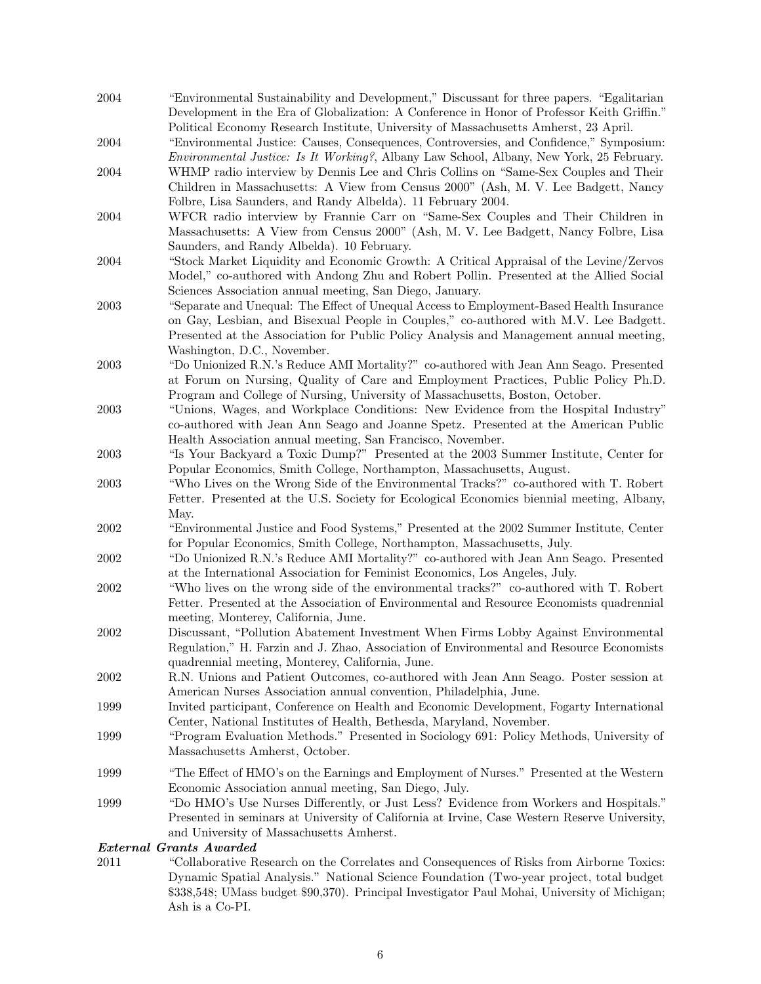2004 "Environmental Sustainability and Development," Discussant for three papers. "Egalitarian Development in the Era of Globalization: A Conference in Honor of Professor Keith Griffin." Political Economy Research Institute, University of Massachusetts Amherst, 23 April.

2004 "Environmental Justice: Causes, Consequences, Controversies, and Confidence," Symposium: Environmental Justice: Is It Working?, Albany Law School, Albany, New York, 25 February.

- 2004 WHMP radio interview by Dennis Lee and Chris Collins on "Same-Sex Couples and Their Children in Massachusetts: A View from Census 2000" (Ash, M. V. Lee Badgett, Nancy Folbre, Lisa Saunders, and Randy Albelda). 11 February 2004.
- 2004 WFCR radio interview by Frannie Carr on "Same-Sex Couples and Their Children in Massachusetts: A View from Census 2000" (Ash, M. V. Lee Badgett, Nancy Folbre, Lisa Saunders, and Randy Albelda). 10 February.
- 2004 "Stock Market Liquidity and Economic Growth: A Critical Appraisal of the Levine/Zervos Model," co-authored with Andong Zhu and Robert Pollin. Presented at the Allied Social Sciences Association annual meeting, San Diego, January.
- 2003 "Separate and Unequal: The Effect of Unequal Access to Employment-Based Health Insurance on Gay, Lesbian, and Bisexual People in Couples," co-authored with M.V. Lee Badgett. Presented at the Association for Public Policy Analysis and Management annual meeting, Washington, D.C., November.
- 2003 "Do Unionized R.N.'s Reduce AMI Mortality?" co-authored with Jean Ann Seago. Presented at Forum on Nursing, Quality of Care and Employment Practices, Public Policy Ph.D. Program and College of Nursing, University of Massachusetts, Boston, October.
- 2003 "Unions, Wages, and Workplace Conditions: New Evidence from the Hospital Industry" co-authored with Jean Ann Seago and Joanne Spetz. Presented at the American Public Health Association annual meeting, San Francisco, November.
- 2003 "Is Your Backyard a Toxic Dump?" Presented at the 2003 Summer Institute, Center for Popular Economics, Smith College, Northampton, Massachusetts, August.
- 2003 "Who Lives on the Wrong Side of the Environmental Tracks?" co-authored with T. Robert Fetter. Presented at the U.S. Society for Ecological Economics biennial meeting, Albany, May.
- 2002 "Environmental Justice and Food Systems," Presented at the 2002 Summer Institute, Center for Popular Economics, Smith College, Northampton, Massachusetts, July.
- 2002 "Do Unionized R.N.'s Reduce AMI Mortality?" co-authored with Jean Ann Seago. Presented at the International Association for Feminist Economics, Los Angeles, July.
- 2002 "Who lives on the wrong side of the environmental tracks?" co-authored with T. Robert Fetter. Presented at the Association of Environmental and Resource Economists quadrennial meeting, Monterey, California, June.
- 2002 Discussant, "Pollution Abatement Investment When Firms Lobby Against Environmental Regulation," H. Farzin and J. Zhao, Association of Environmental and Resource Economists quadrennial meeting, Monterey, California, June.
- 2002 R.N. Unions and Patient Outcomes, co-authored with Jean Ann Seago. Poster session at American Nurses Association annual convention, Philadelphia, June.
- 1999 Invited participant, Conference on Health and Economic Development, Fogarty International Center, National Institutes of Health, Bethesda, Maryland, November.
- 1999 "Program Evaluation Methods." Presented in Sociology 691: Policy Methods, University of Massachusetts Amherst, October.
- 1999 "The Effect of HMO's on the Earnings and Employment of Nurses." Presented at the Western Economic Association annual meeting, San Diego, July.
- 1999 "Do HMO's Use Nurses Differently, or Just Less? Evidence from Workers and Hospitals." Presented in seminars at University of California at Irvine, Case Western Reserve University, and University of Massachusetts Amherst.

### External Grants Awarded

2011 "Collaborative Research on the Correlates and Consequences of Risks from Airborne Toxics: Dynamic Spatial Analysis." National Science Foundation (Two-year project, total budget \$338,548; UMass budget \$90,370). Principal Investigator Paul Mohai, University of Michigan; Ash is a Co-PI.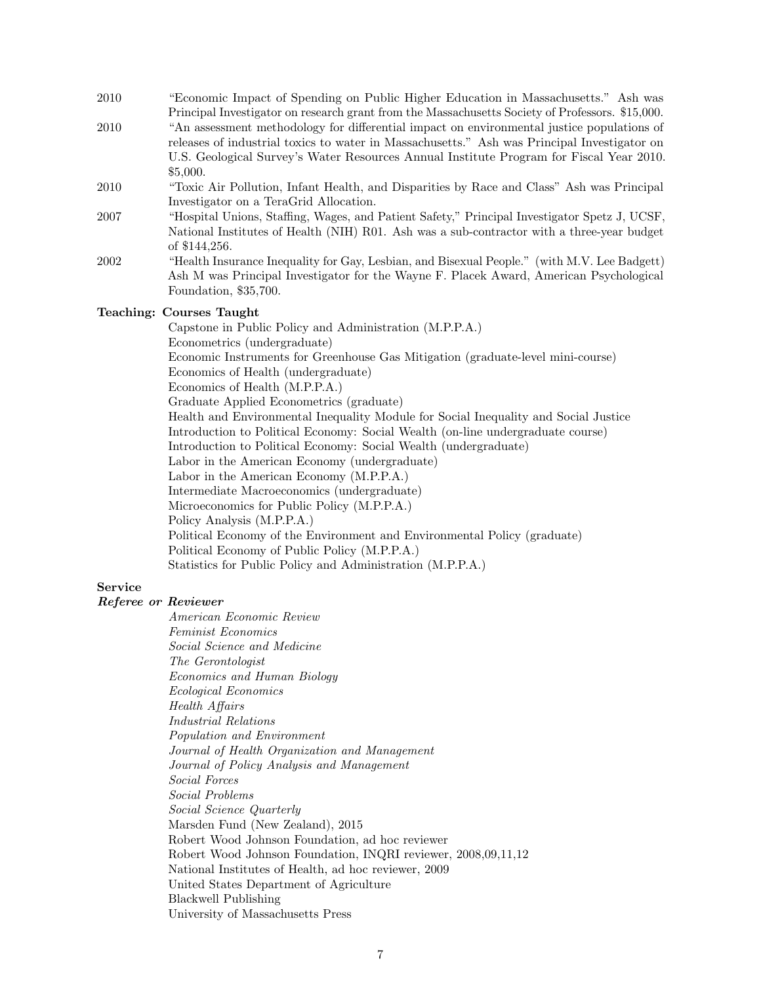- 2010 "Economic Impact of Spending on Public Higher Education in Massachusetts." Ash was Principal Investigator on research grant from the Massachusetts Society of Professors. \$15,000.
- 2010 "An assessment methodology for differential impact on environmental justice populations of releases of industrial toxics to water in Massachusetts." Ash was Principal Investigator on U.S. Geological Survey's Water Resources Annual Institute Program for Fiscal Year 2010. \$5,000.
- 2010 "Toxic Air Pollution, Infant Health, and Disparities by Race and Class" Ash was Principal Investigator on a TeraGrid Allocation.
- 2007 "Hospital Unions, Staffing, Wages, and Patient Safety," Principal Investigator Spetz J, UCSF, National Institutes of Health (NIH) R01. Ash was a sub-contractor with a three-year budget of \$144,256.
- 2002 "Health Insurance Inequality for Gay, Lesbian, and Bisexual People." (with M.V. Lee Badgett) Ash M was Principal Investigator for the Wayne F. Placek Award, American Psychological Foundation, \$35,700.

# Teaching: Courses Taught

Capstone in Public Policy and Administration (M.P.P.A.) Econometrics (undergraduate) Economic Instruments for Greenhouse Gas Mitigation (graduate-level mini-course) Economics of Health (undergraduate) Economics of Health (M.P.P.A.) Graduate Applied Econometrics (graduate) Health and Environmental Inequality Module for Social Inequality and Social Justice Introduction to Political Economy: Social Wealth (on-line undergraduate course) Introduction to Political Economy: Social Wealth (undergraduate) Labor in the American Economy (undergraduate) Labor in the American Economy (M.P.P.A.) Intermediate Macroeconomics (undergraduate) Microeconomics for Public Policy (M.P.P.A.) Policy Analysis (M.P.P.A.) Political Economy of the Environment and Environmental Policy (graduate) Political Economy of Public Policy (M.P.P.A.) Statistics for Public Policy and Administration (M.P.P.A.)

### Service

### Referee or Reviewer

American Economic Review Feminist Economics Social Science and Medicine The Gerontologist Economics and Human Biology Ecological Economics Health Affairs Industrial Relations Population and Environment Journal of Health Organization and Management Journal of Policy Analysis and Management Social Forces Social Problems Social Science Quarterly Marsden Fund (New Zealand), 2015 Robert Wood Johnson Foundation, ad hoc reviewer Robert Wood Johnson Foundation, INQRI reviewer, 2008,09,11,12 National Institutes of Health, ad hoc reviewer, 2009 United States Department of Agriculture Blackwell Publishing University of Massachusetts Press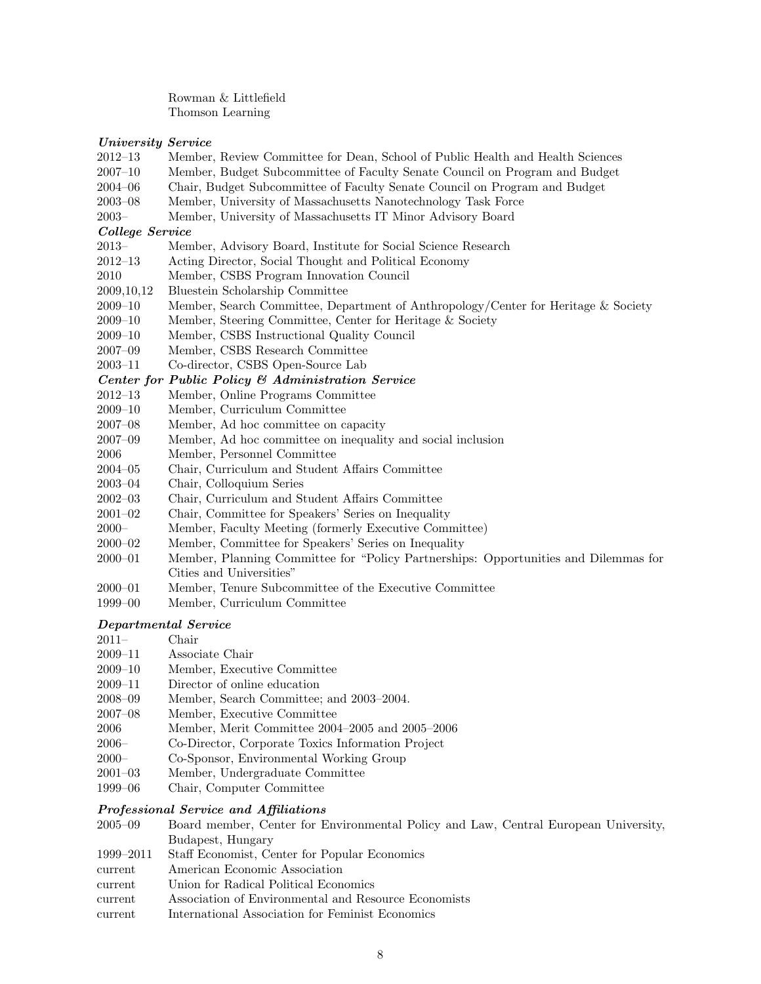Rowman & Littlefield Thomson Learning

### University Service

- 2012–13 Member, Review Committee for Dean, School of Public Health and Health Sciences
- 2007–10 Member, Budget Subcommittee of Faculty Senate Council on Program and Budget
- 2004–06 Chair, Budget Subcommittee of Faculty Senate Council on Program and Budget
- 2003–08 Member, University of Massachusetts Nanotechnology Task Force
- 2003– Member, University of Massachusetts IT Minor Advisory Board

#### College Service

- 2013– Member, Advisory Board, Institute for Social Science Research
- 2012–13 Acting Director, Social Thought and Political Economy
- 2010 Member, CSBS Program Innovation Council
- 2009,10,12 Bluestein Scholarship Committee
- 2009–10 Member, Search Committee, Department of Anthropology/Center for Heritage & Society
- 2009–10 Member, Steering Committee, Center for Heritage & Society
- 2009–10 Member, CSBS Instructional Quality Council
- 2007–09 Member, CSBS Research Committee
- 2003–11 Co-director, CSBS Open-Source Lab

### Center for Public Policy & Administration Service

- 2012–13 Member, Online Programs Committee
- 2009–10 Member, Curriculum Committee
- 2007–08 Member, Ad hoc committee on capacity
- 2007–09 Member, Ad hoc committee on inequality and social inclusion
- 2006 Member, Personnel Committee
- 2004–05 Chair, Curriculum and Student Affairs Committee
- 2003–04 Chair, Colloquium Series
- 2002–03 Chair, Curriculum and Student Affairs Committee
- 2001–02 Chair, Committee for Speakers' Series on Inequality
- 2000– Member, Faculty Meeting (formerly Executive Committee)
- 2000–02 Member, Committee for Speakers' Series on Inequality
- 2000–01 Member, Planning Committee for "Policy Partnerships: Opportunities and Dilemmas for Cities and Universities"
- 2000–01 Member, Tenure Subcommittee of the Executive Committee
- 1999–00 Member, Curriculum Committee

# Departmental Service

- 2011– Chair
- 2009–11 Associate Chair
- 2009–10 Member, Executive Committee
- 2009–11 Director of online education
- 2008–09 Member, Search Committee; and 2003–2004.
- 2007–08 Member, Executive Committee
- 2006 Member, Merit Committee 2004–2005 and 2005–2006
- 2006– Co-Director, Corporate Toxics Information Project
- 2000– Co-Sponsor, Environmental Working Group
- 2001–03 Member, Undergraduate Committee
- 1999–06 Chair, Computer Committee

### Professional Service and Affiliations

- 2005–09 Board member, Center for Environmental Policy and Law, Central European University, Budapest, Hungary
- 1999–2011 Staff Economist, Center for Popular Economics
- current American Economic Association
- current Union for Radical Political Economics
- current Association of Environmental and Resource Economists
- current International Association for Feminist Economics